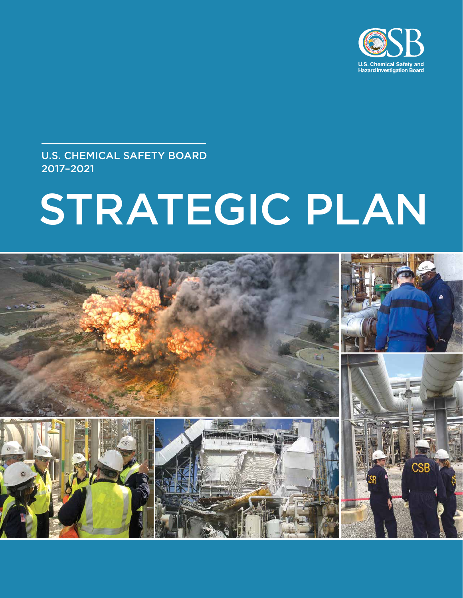

#### U.S. CHEMICAL SAFETY BOARD  2017–2021

# STRATEGIC PLAN

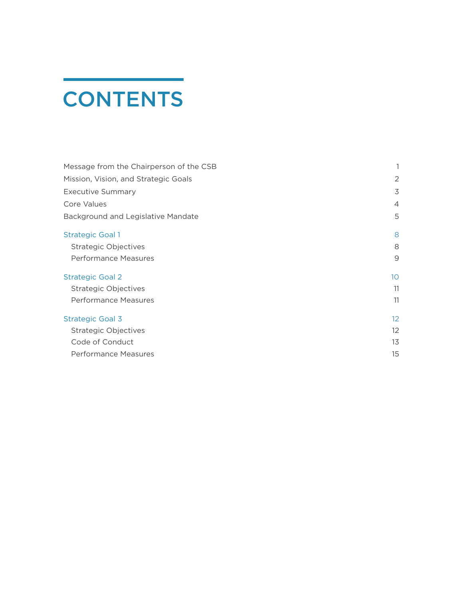# **CONTENTS**

| Message from the Chairperson of the CSB |                   |
|-----------------------------------------|-------------------|
| Mission, Vision, and Strategic Goals    | 2                 |
| <b>Executive Summary</b>                | 3                 |
| Core Values                             | 4                 |
| Background and Legislative Mandate      | 5                 |
| <b>Strategic Goal 1</b>                 | 8                 |
| <b>Strategic Objectives</b>             | 8                 |
| <b>Performance Measures</b>             | 9                 |
| <b>Strategic Goal 2</b>                 | 10 <sup>°</sup>   |
| <b>Strategic Objectives</b>             | 11                |
| <b>Performance Measures</b>             | 11                |
| <b>Strategic Goal 3</b>                 | 12 <sup>°</sup>   |
| <b>Strategic Objectives</b>             | $12 \overline{ }$ |
| Code of Conduct                         | 13                |
| <b>Performance Measures</b>             | 15                |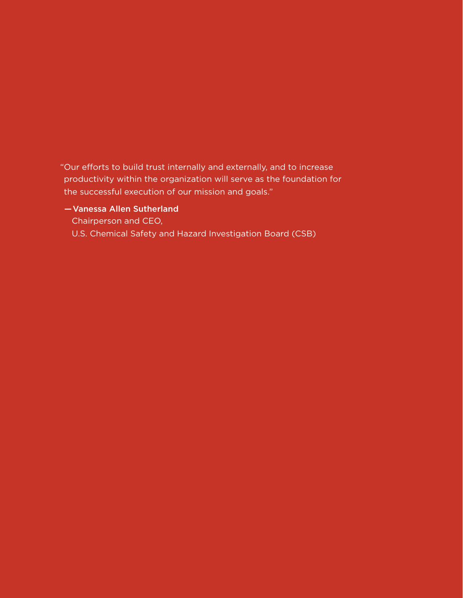"Our efforts to build trust internally and externally, and to increase productivity within the organization will serve as the foundation for the successful execution of our mission and goals."

#### — Vanessa Allen Sutherland

Chairperson and CEO,

U.S. Chemical Safety and Hazard Investigation Board (CSB)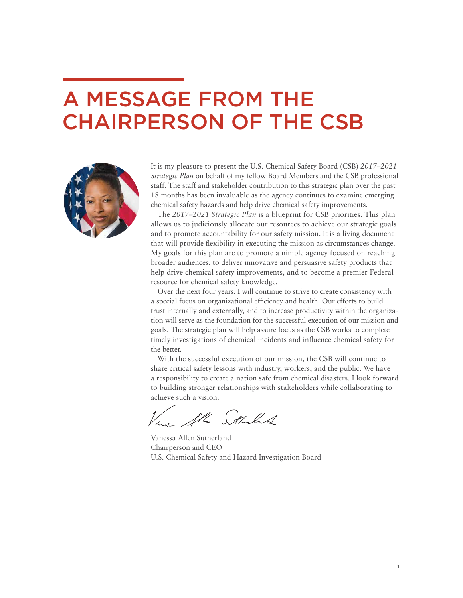### A MESSAGE FROM THE  CHAIRPERSON OF THE CSB



It is my pleasure to present the U.S. Chemical Safety Board (CSB) *2017–2021 Strategic Plan* on behalf of my fellow Board Members and the CSB professional staff. The staff and stakeholder contribution to this strategic plan over the past 18 months has been invaluable as the agency continues to examine emerging chemical safety hazards and help drive chemical safety improvements.

The *2017–2021 Strategic Plan* is a blueprint for CSB priorities. This plan allows us to judiciously allocate our resources to achieve our strategic goals and to promote accountability for our safety mission. It is a living document that will provide flexibility in executing the mission as circumstances change. My goals for this plan are to promote a nimble agency focused on reaching broader audiences, to deliver innovative and persuasive safety products that help drive chemical safety improvements, and to become a premier Federal resource for chemical safety knowledge.

Over the next four years, I will continue to strive to create consistency with a special focus on organizational efficiency and health. Our efforts to build trust internally and externally, and to increase productivity within the organization will serve as the foundation for the successful execution of our mission and goals. The strategic plan will help assure focus as the CSB works to complete timely investigations of chemical incidents and influence chemical safety for the better.

With the successful execution of our mission, the CSB will continue to share critical safety lessons with industry, workers, and the public. We have a responsibility to create a nation safe from chemical disasters. I look forward to building stronger relationships with stakeholders while collaborating to achieve such a vision.

fle Stulas

Vanessa Allen Sutherland Chairperson and CEO U.S. Chemical Safety and Hazard Investigation Board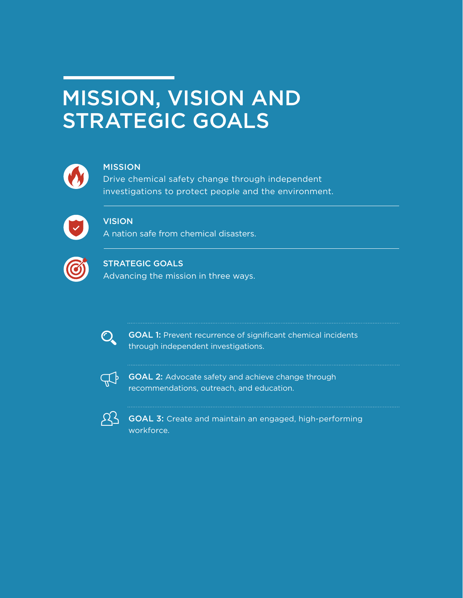### MISSION, VISION AND  STRATEGIC GOALS



#### MISSION

Drive chemical safety change through independent investigations to protect people and the environment.



#### **VISION**

A nation safe from chemical disasters.



STRATEGIC GOALS Advancing the mission in three ways.



GOAL 1: Prevent recurrence of significant chemical incidents through independent investigations.



GOAL 2: Advocate safety and achieve change through recommendations, outreach, and education.



GOAL 3: Create and maintain an engaged, high-performing workforce.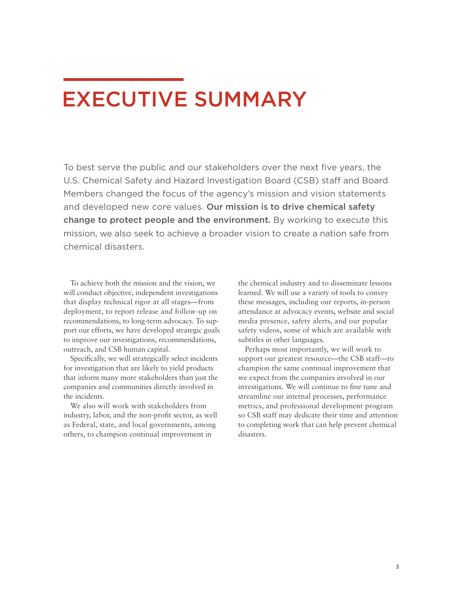### EXECUTIVE SUMMARY

To best serve the public and our stakeholders over the next five years, the U.S. Chemical Safety and Hazard Investigation Board (CSB) staff and Board Members changed the focus of the agency's mission and vision statements and developed new core values. Our mission is to drive chemical safety change to protect people and the environment. By working to execute this mission, we also seek to achieve a broader vision to create a nation safe from chemical disasters.

To achieve both the mission and the vision, we will conduct objective, independent investigations that display technical rigor at all stages—from deployment, to report release and follow-up on recommendations, to long-term advocacy. To support our efforts, we have developed strategic goals to improve our investigations, recommendations, outreach, and CSB human capital.

Specifically, we will strategically select incidents for investigation that are likely to yield products that inform many more stakeholders than just the companies and communities directly involved in the incidents.

We also will work with stakeholders from industry, labor, and the non-profit sector, as well as Federal, state, and local governments, among others, to champion continual improvement in

the chemical industry and to disseminate lessons learned. We will use a variety of tools to convey these messages, including our reports, in-person attendance at advocacy events, website and social media presence, safety alerts, and our popular safety videos, some of which are available with subtitles in other languages.

Perhaps most importantly, we will work to support our greatest resource—the CSB staff—to champion the same continual improvement that we expect from the companies involved in our investigations. We will continue to fine tune and streamline our internal processes, performance metrics, and professional development program so CSB staff may dedicate their time and attention to completing work that can help prevent chemical disasters.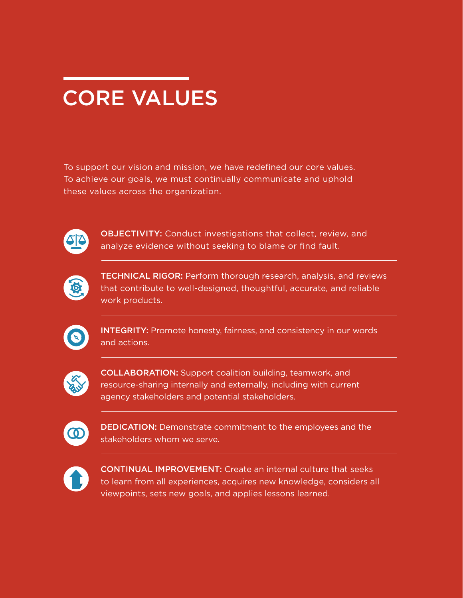# CORE VALUES

To support our vision and mission, we have redefined our core values. To achieve our goals, we must continually communicate and uphold these values across the organization.



OBJECTIVITY: Conduct investigations that collect, review, and analyze evidence without seeking to blame or find fault.



TECHNICAL RIGOR: Perform thorough research, analysis, and reviews that contribute to well-designed, thoughtful, accurate, and reliable work products.



INTEGRITY: Promote honesty, fairness, and consistency in our words and actions.



COLLABORATION: Support coalition building, teamwork, and resource-sharing internally and externally, including with current agency stakeholders and potential stakeholders.



DEDICATION: Demonstrate commitment to the employees and the stakeholders whom we serve.



CONTINUAL IMPROVEMENT: Create an internal culture that seeks to learn from all experiences, acquires new knowledge, considers all viewpoints, sets new goals, and applies lessons learned.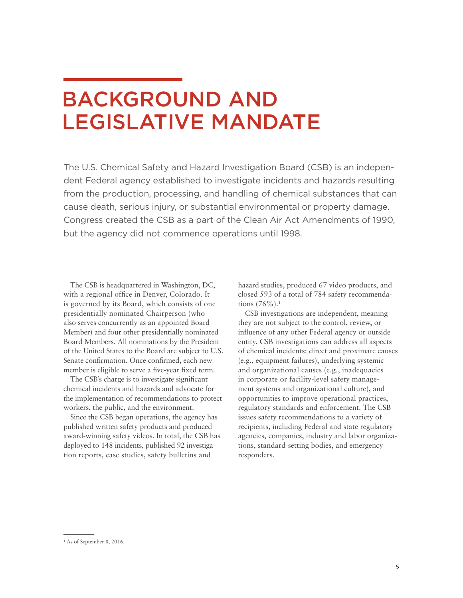### BACKGROUND AND   LEGISLATIVE MANDATE

The U.S. Chemical Safety and Hazard Investigation Board (CSB) is an independent Federal agency established to investigate incidents and hazards resulting from the production, processing, and handling of chemical substances that can cause death, serious injury, or substantial environmental or property damage. Congress created the CSB as a part of the Clean Air Act Amendments of 1990, but the agency did not commence operations until 1998.

The CSB is headquartered in Washington, DC, with a regional office in Denver, Colorado. It is governed by its Board, which consists of one presidentially nominated Chairperson (who also serves concurrently as an appointed Board Member) and four other presidentially nominated Board Members. All nominations by the President of the United States to the Board are subject to U.S. Senate confirmation. Once confirmed, each new member is eligible to serve a five-year fixed term.

The CSB's charge is to investigate significant chemical incidents and hazards and advocate for the implementation of recommendations to protect workers, the public, and the environment.

Since the CSB began operations, the agency has published written safety products and produced award-winning safety videos. In total, the CSB has deployed to 148 incidents, published 92 investigation reports, case studies, safety bulletins and

hazard studies, produced 67 video products, and closed 593 of a total of 784 safety recommendations (76%).<sup>1</sup>

CSB investigations are independent, meaning they are not subject to the control, review, or influence of any other Federal agency or outside entity. CSB investigations can address all aspects of chemical incidents: direct and proximate causes (e.g., equipment failures), underlying systemic and organizational causes (e.g., inadequacies in corporate or facility-level safety management systems and organizational culture), and opportunities to improve operational practices, regulatory standards and enforcement. The CSB issues safety recommendations to a variety of recipients, including Federal and state regulatory agencies, companies, industry and labor organizations, standard-setting bodies, and emergency responders.

<sup>&</sup>lt;sup>1</sup> As of September 8, 2016.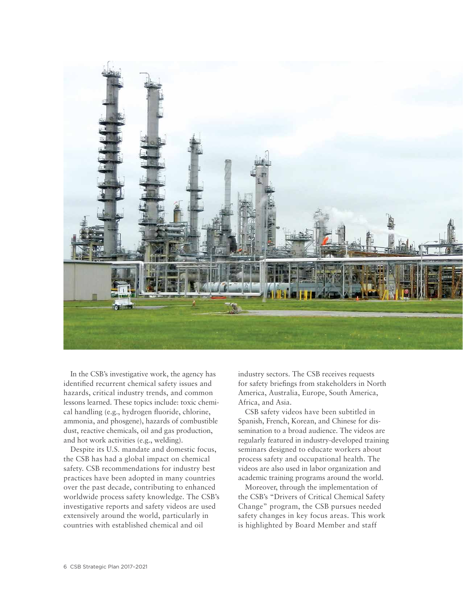

In the CSB's investigative work, the agency has identified recurrent chemical safety issues and hazards, critical industry trends, and common lessons learned. These topics include: toxic chemical handling (e.g., hydrogen fluoride, chlorine, ammonia, and phosgene), hazards of combustible dust, reactive chemicals, oil and gas production, and hot work activities (e.g., welding).

Despite its U.S. mandate and domestic focus, the CSB has had a global impact on chemical safety. CSB recommendations for industry best practices have been adopted in many countries over the past decade, contributing to enhanced worldwide process safety knowledge. The CSB's investigative reports and safety videos are used extensively around the world, particularly in countries with established chemical and oil

industry sectors. The CSB receives requests for safety briefings from stakeholders in North America, Australia, Europe, South America, Africa, and Asia.

CSB safety videos have been subtitled in Spanish, French, Korean, and Chinese for dissemination to a broad audience. The videos are regularly featured in industry-developed training seminars designed to educate workers about process safety and occupational health. The videos are also used in labor organization and academic training programs around the world.

Moreover, through the implementation of the CSB's "Drivers of Critical Chemical Safety Change" program, the CSB pursues needed safety changes in key focus areas. This work is highlighted by Board Member and staff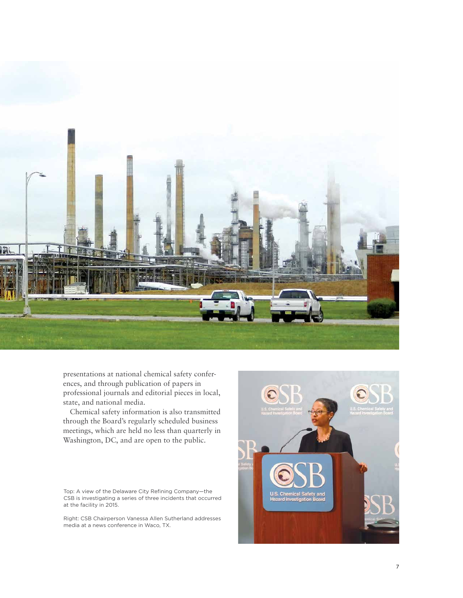

presentations at national chemical safety conferences, and through publication of papers in professional journals and editorial pieces in local, state, and national media.

Chemical safety information is also transmitted through the Board's regularly scheduled business meetings, which are held no less than quarterly in Washington, DC, and are open to the public.

Right: CSB Chairperson Vanessa Allen Sutherland addresses media at a news conference in Waco, TX.



Top: A view of the Delaware City Refining Company—the CSB is investigating a series of three incidents that occurred at the facility in 2015.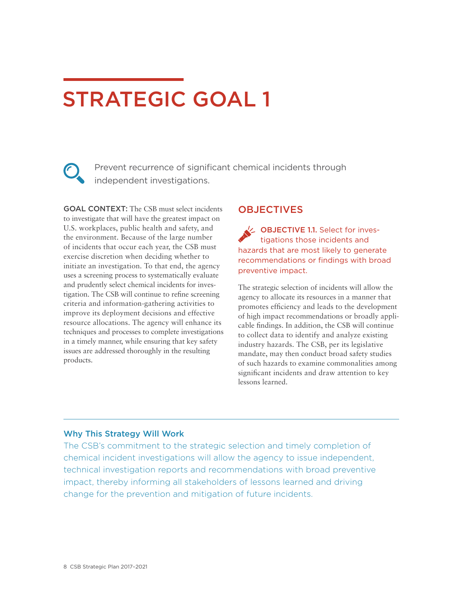### STRATEGIC GOAL 1

Prevent recurrence of significant chemical incidents through independent investigations.

GOAL CONTEXT: The CSB must select incidents to investigate that will have the greatest impact on U.S. workplaces, public health and safety, and the environment. Because of the large number of incidents that occur each year, the CSB must exercise discretion when deciding whether to initiate an investigation. To that end, the agency uses a screening process to systematically evaluate and prudently select chemical incidents for investigation. The CSB will continue to refine screening criteria and information-gathering activities to improve its deployment decisions and effective resource allocations. The agency will enhance its techniques and processes to complete investigations in a timely manner, while ensuring that key safety issues are addressed thoroughly in the resulting products.

#### **OBJECTIVES**

C OBJECTIVE 1.1. Select for investigations those incidents and hazards that are most likely to generate recommendations or findings with broad preventive impact.

The strategic selection of incidents will allow the agency to allocate its resources in a manner that promotes efficiency and leads to the development of high impact recommendations or broadly applicable findings. In addition, the CSB will continue to collect data to identify and analyze existing industry hazards. The CSB, per its legislative mandate, may then conduct broad safety studies of such hazards to examine commonalities among significant incidents and draw attention to key lessons learned.

#### Why This Strategy Will Work

The CSB's commitment to the strategic selection and timely completion of chemical incident investigations will allow the agency to issue independent, technical investigation reports and recommendations with broad preventive impact, thereby informing all stakeholders of lessons learned and driving change for the prevention and mitigation of future incidents.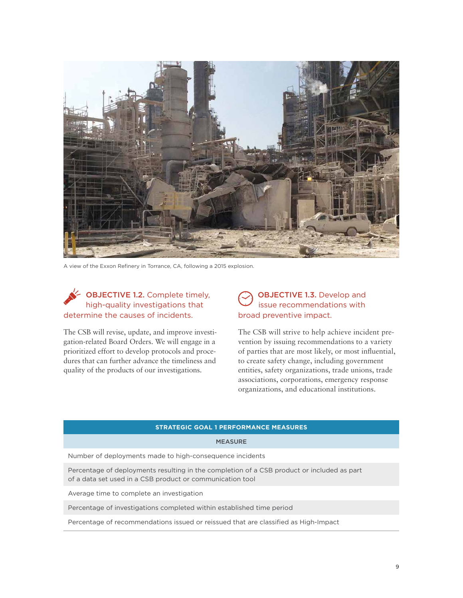

A view of the Exxon Refinery in Torrance, CA, following a 2015 explosion.

#### **OBJECTIVE 1.2.** Complete timely, high-quality investigations that determine the causes of incidents.

The CSB will revise, update, and improve investigation-related Board Orders. We will engage in a prioritized effort to develop protocols and procedures that can further advance the timeliness and quality of the products of our investigations.

#### OBJECTIVE 1.3. Develop and issue recommendations with broad preventive impact.

The CSB will strive to help achieve incident prevention by issuing recommendations to a variety of parties that are most likely, or most influential, to create safety change, including government entities, safety organizations, trade unions, trade associations, corporations, emergency response organizations, and educational institutions.

#### **STRATEGIC GOAL 1 PERFORMANCE MEASURES**

#### MEASURE

Number of deployments made to high-consequence incidents

Percentage of deployments resulting in the completion of a CSB product or included as part of a data set used in a CSB product or communication tool

Average time to complete an investigation

Percentage of investigations completed within established time period

Percentage of recommendations issued or reissued that are classified as High-Impact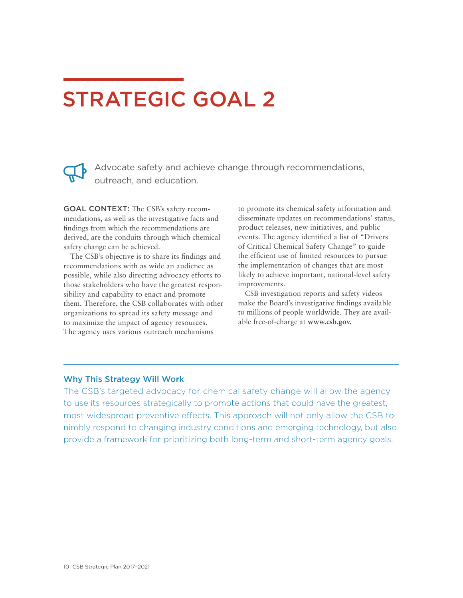### STRATEGIC GOAL 2

Advocate safety and achieve change through recommendations, outreach, and education.

GOAL CONTEXT: The CSB's safety recommendations, as well as the investigative facts and findings from which the recommendations are derived, are the conduits through which chemical safety change can be achieved.

The CSB's objective is to share its findings and recommendations with as wide an audience as possible, while also directing advocacy efforts to those stakeholders who have the greatest responsibility and capability to enact and promote them. Therefore, the CSB collaborates with other organizations to spread its safety message and to maximize the impact of agency resources. The agency uses various outreach mechanisms

to promote its chemical safety information and disseminate updates on recommendations' status, product releases, new initiatives, and public events. The agency identified a list of "Drivers of Critical Chemical Safety Change" to guide the efficient use of limited resources to pursue the implementation of changes that are most likely to achieve important, national-level safety improvements.

CSB investigation reports and safety videos make the Board's investigative findings available to millions of people worldwide. They are available free-of-charge at **www.csb.gov.** 

#### Why This Strategy Will Work

The CSB's targeted advocacy for chemical safety change will allow the agency to use its resources strategically to promote actions that could have the greatest, most widespread preventive effects. This approach will not only allow the CSB to nimbly respond to changing industry conditions and emerging technology, but also provide a framework for prioritizing both long-term and short-term agency goals.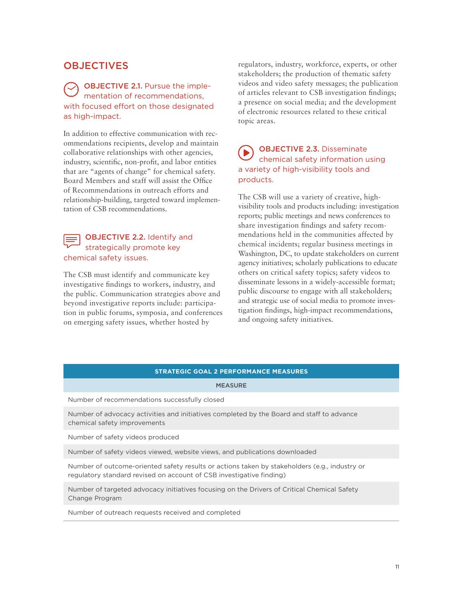#### **OBJECTIVES**

#### OBJECTIVE 2.1. Pursue the implementation of recommendations, with focused effort on those designated as high-impact.

In addition to effective communication with recommendations recipients, develop and maintain collaborative relationships with other agencies, industry, scientific, non-profit, and labor entities that are "agents of change" for chemical safety. Board Members and staff will assist the Office of Recommendations in outreach efforts and relationship-building, targeted toward implementation of CSB recommendations.



The CSB must identify and communicate key investigative findings to workers, industry, and the public. Communication strategies above and beyond investigative reports include: participation in public forums, symposia, and conferences on emerging safety issues, whether hosted by

regulators, industry, workforce, experts, or other stakeholders; the production of thematic safety videos and video safety messages; the publication of articles relevant to CSB investigation findings; a presence on social media; and the development of electronic resources related to these critical topic areas.

#### OBJECTIVE 2.3. Disseminate chemical safety information using a variety of high-visibility tools and products.

The CSB will use a variety of creative, highvisibility tools and products including: investigation reports; public meetings and news conferences to share investigation findings and safety recommendations held in the communities affected by chemical incidents; regular business meetings in Washington, DC, to update stakeholders on current agency initiatives; scholarly publications to educate others on critical safety topics; safety videos to disseminate lessons in a widely-accessible format; public discourse to engage with all stakeholders; and strategic use of social media to promote investigation findings, high-impact recommendations, and ongoing safety initiatives.

#### **STRATEGIC GOAL 2 PERFORMANCE MEASURES**

#### MEASURE

Number of recommendations successfully closed

Number of advocacy activities and initiatives completed by the Board and staff to advance chemical safety improvements

Number of safety videos produced

Number of safety videos viewed, website views, and publications downloaded

Number of outcome-oriented safety results or actions taken by stakeholders (e.g., industry or regulatory standard revised on account of CSB investigative finding)

Number of targeted advocacy initiatives focusing on the Drivers of Critical Chemical Safety Change Program

Number of outreach requests received and completed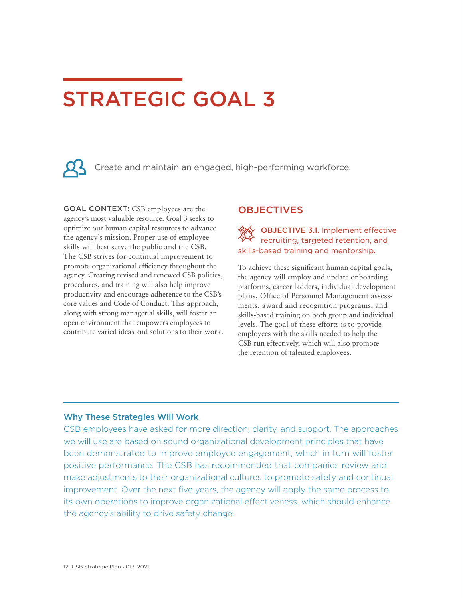### STRATEGIC GOAL 3

Create and maintain an engaged, high-performing workforce.

GOAL CONTEXT: CSB employees are the agency's most valuable resource. Goal 3 seeks to optimize our human capital resources to advance the agency's mission. Proper use of employee skills will best serve the public and the CSB. The CSB strives for continual improvement to promote organizational efficiency throughout the agency. Creating revised and renewed CSB policies, procedures, and training will also help improve productivity and encourage adherence to the CSB's core values and Code of Conduct. This approach, along with strong managerial skills, will foster an open environment that empowers employees to contribute varied ideas and solutions to their work.

#### **OBJECTIVES**

#### OBJECTIVE 3.1. Implement effective recruiting, targeted retention, and skills-based training and mentorship.

To achieve these significant human capital goals, the agency will employ and update onboarding platforms, career ladders, individual development plans, Office of Personnel Management assessments, award and recognition programs, and skills-based training on both group and individual levels. The goal of these efforts is to provide employees with the skills needed to help the CSB run effectively, which will also promote the retention of talented employees.

#### Why These Strategies Will Work

CSB employees have asked for more direction, clarity, and support. The approaches we will use are based on sound organizational development principles that have been demonstrated to improve employee engagement, which in turn will foster positive performance. The CSB has recommended that companies review and make adjustments to their organizational cultures to promote safety and continual improvement. Over the next five years, the agency will apply the same process to its own operations to improve organizational effectiveness, which should enhance the agency's ability to drive safety change.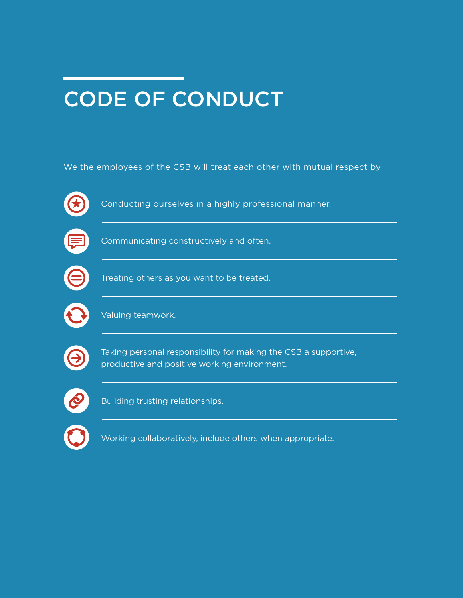# CODE OF CONDUCT

We the employees of the CSB will treat each other with mutual respect by:



Conducting ourselves in a highly professional manner.



Communicating constructively and often.



Treating others as you want to be treated.



Valuing teamwork.



Taking personal responsibility for making the CSB a supportive, productive and positive working environment.



Building trusting relationships.

Working collaboratively, include others when appropriate.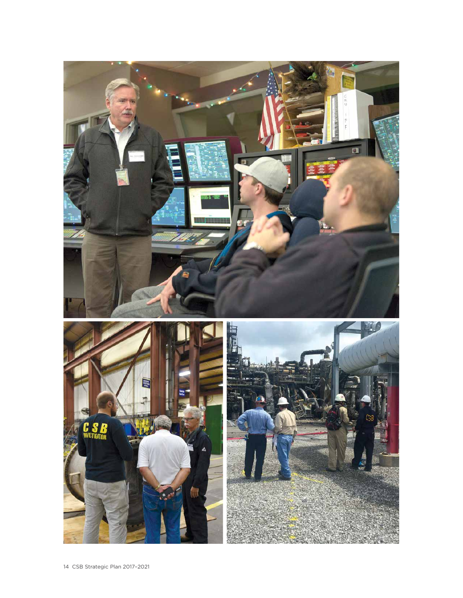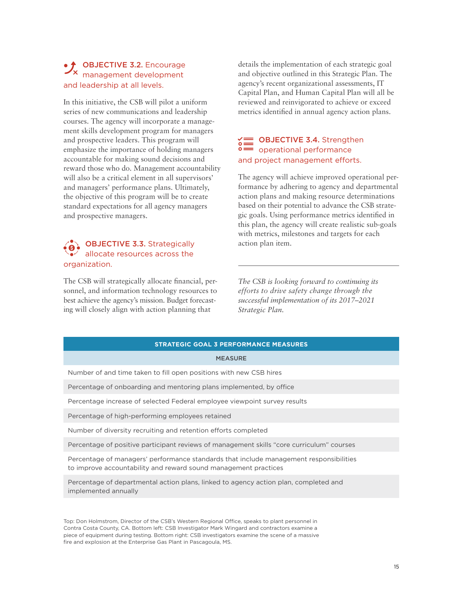#### **OBJECTIVE 3.2. Encourage** management development and leadership at all levels.

In this initiative, the CSB will pilot a uniform series of new communications and leadership courses. The agency will incorporate a management skills development program for managers and prospective leaders. This program will emphasize the importance of holding managers accountable for making sound decisions and reward those who do. Management accountability will also be a critical element in all supervisors' and managers' performance plans. Ultimately, the objective of this program will be to create standard expectations for all agency managers and prospective managers.

#### OBJECTIVE 3.3. Strategically allocate resources across the organization.

The CSB will strategically allocate financial, personnel, and information technology resources to best achieve the agency's mission. Budget forecasting will closely align with action planning that

details the implementation of each strategic goal and objective outlined in this Strategic Plan. The agency's recent organizational assessments, IT Capital Plan, and Human Capital Plan will all be reviewed and reinvigorated to achieve or exceed metrics identified in annual agency action plans.

#### OBJECTIVE 3.4. Strengthen operational performance and project management efforts.

The agency will achieve improved operational performance by adhering to agency and departmental action plans and making resource determinations based on their potential to advance the CSB strategic goals. Using performance metrics identified in this plan, the agency will create realistic sub-goals with metrics, milestones and targets for each action plan item.

*The CSB is looking forward to continuing its efforts to drive safety change through the successful implementation of its 2017–2021 Strategic Plan.*

#### **STRATEGIC GOAL 3 PERFORMANCE MEASURES**

#### MEASURE

Number of and time taken to fill open positions with new CSB hires

Percentage of onboarding and mentoring plans implemented, by office

Percentage increase of selected Federal employee viewpoint survey results

Percentage of high-performing employees retained

Number of diversity recruiting and retention efforts completed

Percentage of positive participant reviews of management skills "core curriculum" courses

Percentage of managers' performance standards that include management responsibilities to improve accountability and reward sound management practices

Percentage of departmental action plans, linked to agency action plan, completed and implemented annually

Top: Don Holmstrom, Director of the CSB's Western Regional Office, speaks to plant personnel in Contra Costa County, CA. Bottom left: CSB Investigator Mark Wingard and contractors examine a piece of equipment during testing. Bottom right: CSB investigators examine the scene of a massive fire and explosion at the Enterprise Gas Plant in Pascagoula, MS.